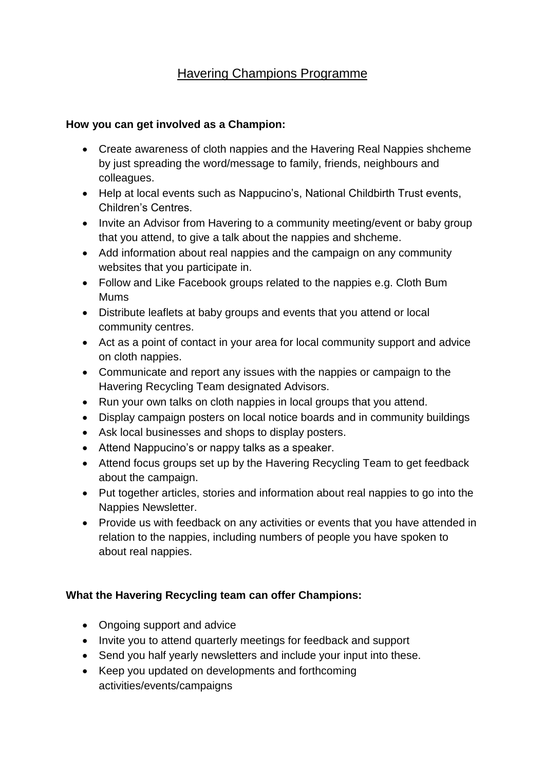## Havering Champions Programme

## **How you can get involved as a Champion:**

- Create awareness of cloth nappies and the Havering Real Nappies shcheme by just spreading the word/message to family, friends, neighbours and colleagues.
- Help at local events such as Nappucino's, National Childbirth Trust events, Children's Centres.
- Invite an Advisor from Havering to a community meeting/event or baby group that you attend, to give a talk about the nappies and shcheme.
- Add information about real nappies and the campaign on any community websites that you participate in.
- Follow and Like Facebook groups related to the nappies e.g. Cloth Bum Mums
- Distribute leaflets at baby groups and events that you attend or local community centres.
- Act as a point of contact in your area for local community support and advice on cloth nappies.
- Communicate and report any issues with the nappies or campaign to the Havering Recycling Team designated Advisors.
- Run your own talks on cloth nappies in local groups that you attend.
- Display campaign posters on local notice boards and in community buildings
- Ask local businesses and shops to display posters.
- Attend Nappucino's or nappy talks as a speaker.
- Attend focus groups set up by the Havering Recycling Team to get feedback about the campaign.
- Put together articles, stories and information about real nappies to go into the Nappies Newsletter.
- Provide us with feedback on any activities or events that you have attended in relation to the nappies, including numbers of people you have spoken to about real nappies.

## **What the Havering Recycling team can offer Champions:**

- Ongoing support and advice
- Invite you to attend quarterly meetings for feedback and support
- Send you half yearly newsletters and include your input into these.
- Keep you updated on developments and forthcoming activities/events/campaigns